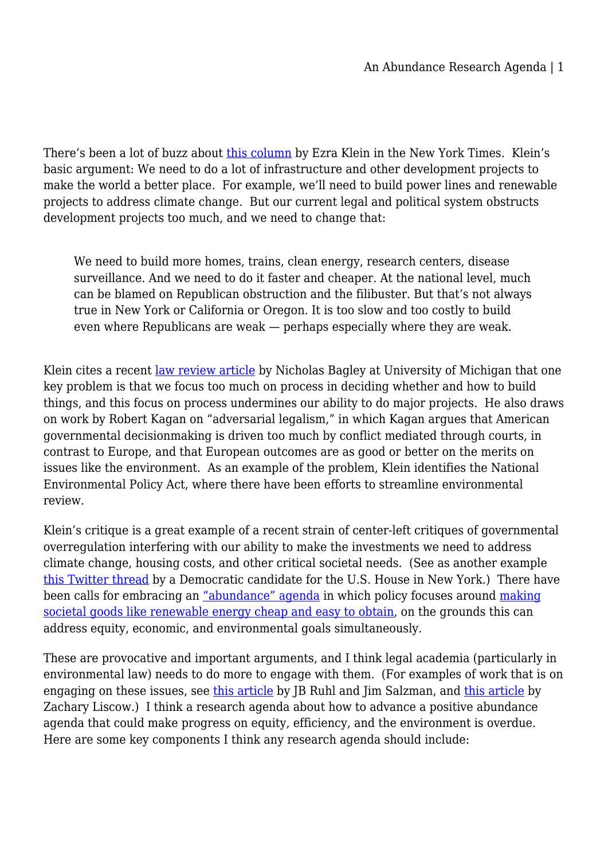There's been a lot of buzz about [this column](https://www.nytimes.com/2022/05/29/opinion/biden-liberalism-infrastructure-building.html) by Ezra Klein in the New York Times. Klein's basic argument: We need to do a lot of infrastructure and other development projects to make the world a better place. For example, we'll need to build power lines and renewable projects to address climate change. But our current legal and political system obstructs development projects too much, and we need to change that:

We need to build more homes, trains, clean energy, research centers, disease surveillance. And we need to do it faster and cheaper. At the national level, much can be blamed on Republican obstruction and the filibuster. But that's not always true in New York or California or Oregon. It is too slow and too costly to build even where Republicans are weak — perhaps especially where they are weak.

Klein cites a recent [law review article](https://papers.ssrn.com/sol3/papers.cfm?abstract_id=3347377) by Nicholas Bagley at University of Michigan that one key problem is that we focus too much on process in deciding whether and how to build things, and this focus on process undermines our ability to do major projects. He also draws on work by Robert Kagan on "adversarial legalism," in which Kagan argues that American governmental decisionmaking is driven too much by conflict mediated through courts, in contrast to Europe, and that European outcomes are as good or better on the merits on issues like the environment. As an example of the problem, Klein identifies the National Environmental Policy Act, where there have been efforts to streamline environmental review.

Klein's critique is a great example of a recent strain of center-left critiques of governmental overregulation interfering with our ability to make the investments we need to address climate change, housing costs, and other critical societal needs. (See as another example [this Twitter thread](https://twitter.com/surajpatelnyc/status/1532004850862641154) by a Democratic candidate for the U.S. House in New York.) There have been calls for embracing an ["abundance" agenda](https://www.theatlantic.com/ideas/archive/2022/01/scarcity-crisis-college-housing-health-care/621221/) in which policy focuses around [making](https://www.slowboring.com/p/abundance-scarcity?s=r) [societal goods like renewable energy cheap and easy to obtain,](https://www.slowboring.com/p/abundance-scarcity?s=r) on the grounds this can address equity, economic, and environmental goals simultaneously.

These are provocative and important arguments, and I think legal academia (particularly in environmental law) needs to do more to engage with them. (For examples of work that is on engaging on these issues, see [this article](https://papers.ssrn.com/sol3/papers.cfm?abstract_id=3531895) by JB Ruhl and Jim Salzman, and [this article](https://papers.ssrn.com/sol3/papers.cfm?abstract_id=3428675) by Zachary Liscow.) I think a research agenda about how to advance a positive abundance agenda that could make progress on equity, efficiency, and the environment is overdue. Here are some key components I think any research agenda should include: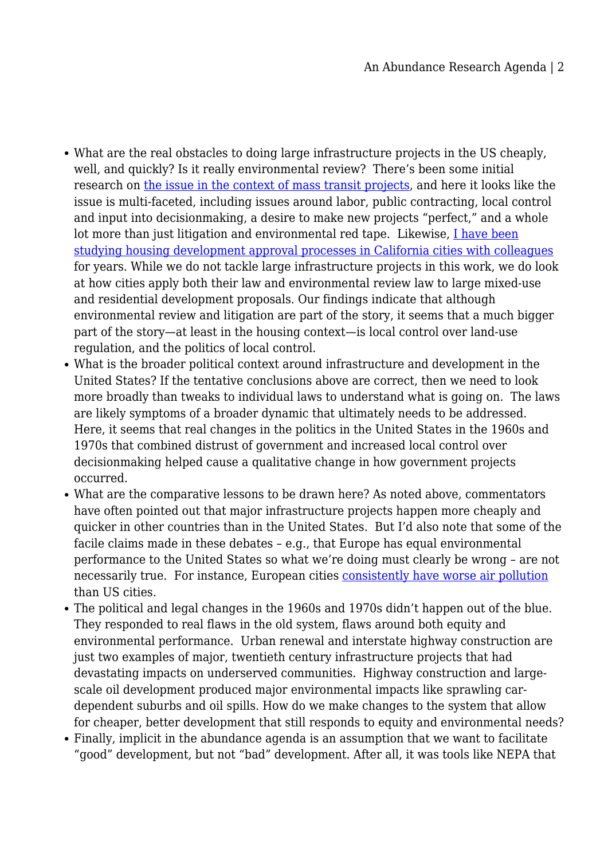- What are the real obstacles to doing large infrastructure projects in the US cheaply, well, and quickly? Is it really environmental review? There's been some initial research on [the issue in the context of mass transit projects](https://transitcosts.com/), and here it looks like the issue is multi-faceted, including issues around labor, public contracting, local control and input into decisionmaking, a desire to make new projects "perfect," and a whole lot more than just litigation and environmental red tape. Likewise,  $I$  have been [studying housing development approval processes in California cities with colleagues](https://papers.ssrn.com/sol3/papers.cfm?abstract_id=3956250) for years. While we do not tackle large infrastructure projects in this work, we do look at how cities apply both their law and environmental review law to large mixed-use and residential development proposals. Our findings indicate that although environmental review and litigation are part of the story, it seems that a much bigger part of the story—at least in the housing context—is local control over land-use regulation, and the politics of local control.
- What is the broader political context around infrastructure and development in the United States? If the tentative conclusions above are correct, then we need to look more broadly than tweaks to individual laws to understand what is going on. The laws are likely symptoms of a broader dynamic that ultimately needs to be addressed. Here, it seems that real changes in the politics in the United States in the 1960s and 1970s that combined distrust of government and increased local control over decisionmaking helped cause a qualitative change in how government projects occurred.
- What are the comparative lessons to be drawn here? As noted above, commentators have often pointed out that major infrastructure projects happen more cheaply and quicker in other countries than in the United States. But I'd also note that some of the facile claims made in these debates – e.g., that Europe has equal environmental performance to the United States so what we're doing must clearly be wrong – are not necessarily true. For instance, European cities [consistently have worse air pollution](https://www.nytimes.com/2016/05/12/science/who-says-europe-trails-us-in-reducing-air-pollution.html) than US cities.
- The political and legal changes in the 1960s and 1970s didn't happen out of the blue. They responded to real flaws in the old system, flaws around both equity and environmental performance. Urban renewal and interstate highway construction are just two examples of major, twentieth century infrastructure projects that had devastating impacts on underserved communities. Highway construction and largescale oil development produced major environmental impacts like sprawling cardependent suburbs and oil spills. How do we make changes to the system that allow for cheaper, better development that still responds to equity and environmental needs?
- Finally, implicit in the abundance agenda is an assumption that we want to facilitate "good" development, but not "bad" development. After all, it was tools like NEPA that